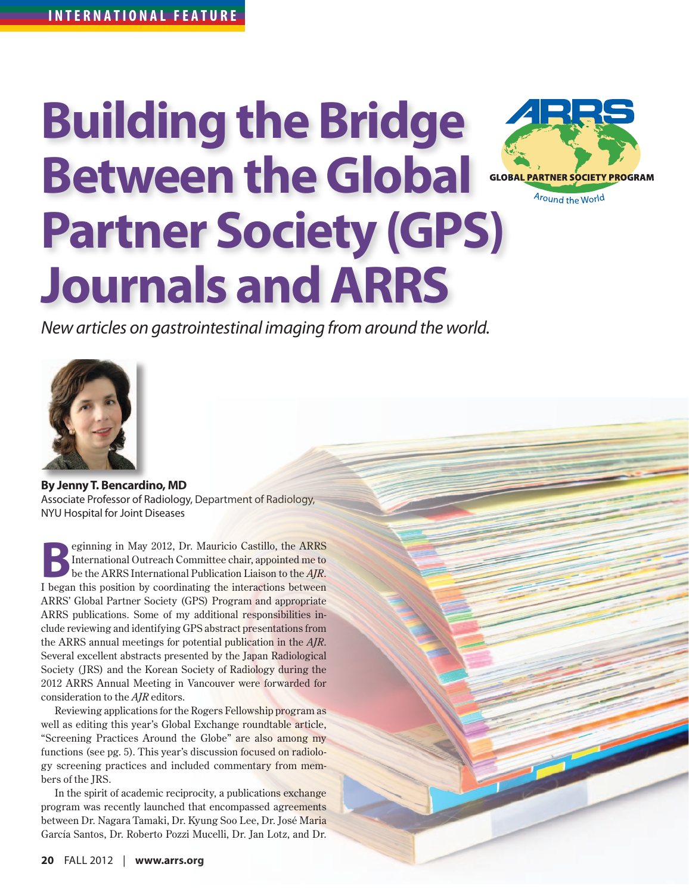# **Building the Bridge Between the Global** *Global Reference***ry Partner Society (GPS) Journals and ARRS**



*New articles on gastrointestinal imaging from around the world.* 



**By Jenny T. Bencardino, MD**  Associate Professor of Radiology, Department of Radiology, NYU Hospital for Joint Diseases

Experiming in May 2012, Dr. Mauricio Castillo, the ARRS<br>International Outreach Committee chair, appointed me to<br>be the ARRS International Publication Liaison to the AJR. International Outreach Committee chair, appointed me to be the ARRS International Publication Liaison to the *AJR*. I began this position by coordinating the interactions between ARRS' Global Partner Society (GPS) Program and appropriate ARRS publications. Some of my additional responsibilities include reviewing and identifying GPS abstract presentations from the ARRS annual meetings for potential publication in the *AJR*. Several excellent abstracts presented by the Japan Radiological Society (JRS) and the Korean Society of Radiology during the 2012 ARRS Annual Meeting in Vancouver were forwarded for consideration to the *AJR* editors.

Reviewing applications for the Rogers Fellowship program as well as editing this year's Global Exchange roundtable article, "Screening Practices Around the Globe" are also among my functions (see pg. 5). This year's discussion focused on radiology screening practices and included commentary from members of the JRS.

In the spirit of academic reciprocity, a publications exchange program was recently launched that encompassed agreements between Dr. Nagara Tamaki, Dr. Kyung Soo Lee, Dr. José Maria García Santos, Dr. Roberto Pozzi Mucelli, Dr. Jan Lotz, and Dr.